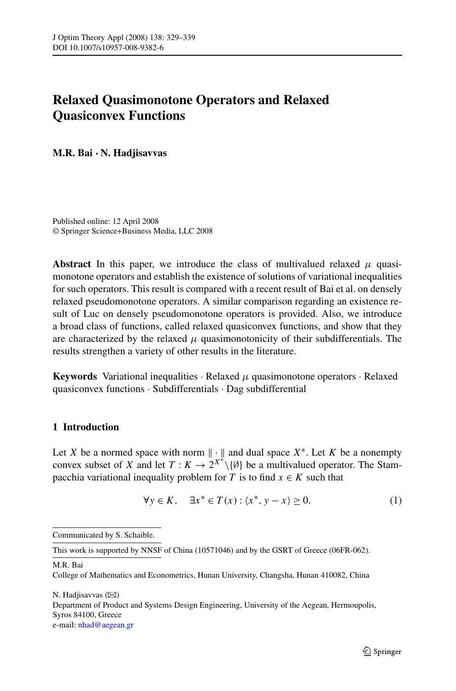# <span id="page-0-0"></span>**Relaxed Quasimonotone Operators and Relaxed Quasiconvex Functions**

**M.R. Bai · N. Hadjisavvas**

Published online: 12 April 2008 © Springer Science+Business Media, LLC 2008

**Abstract** In this paper, we introduce the class of multivalued relaxed  $\mu$  quasimonotone operators and establish the existence of solutions of variational inequalities for such operators. This result is compared with a recent result of Bai et al. on densely relaxed pseudomonotone operators. A similar comparison regarding an existence result of Luc on densely pseudomonotone operators is provided. Also, we introduce a broad class of functions, called relaxed quasiconvex functions, and show that they are characterized by the relaxed  $\mu$  quasimonotonicity of their subdifferentials. The results strengthen a variety of other results in the literature.

**Keywords** Variational inequalities · Relaxed *μ* quasimonotone operators · Relaxed quasiconvex functions · Subdifferentials · Dag subdifferential

## **1 Introduction**

Let *X* be a normed space with norm  $\|\cdot\|$  and dual space  $X^*$ . Let *K* be a nonempty convex subset of *X* and let  $T: K \to 2^{X^*} \setminus \{\emptyset\}$  be a multivalued operator. The Stampacchia variational inequality problem for *T* is to find  $x \in K$  such that

$$
\forall y \in K, \quad \exists x^* \in T(x) : \langle x^*, y - x \rangle \ge 0. \tag{1}
$$

Communicated by S. Schaible.

This work is supported by NNSF of China (10571046) and by the GSRT of Greece (06FR-062).

M.R. Bai

College of Mathematics and Econometrics, Hunan University, Changsha, Hunan 410082, China

N. Hadjisavvas ( $\boxtimes$ ) Department of Product and Systems Design Engineering, University of the Aegean, Hermoupolis, Syros 84100, Greece e-mail: [nhad@aegean.gr](mailto:nhad@aegean.gr)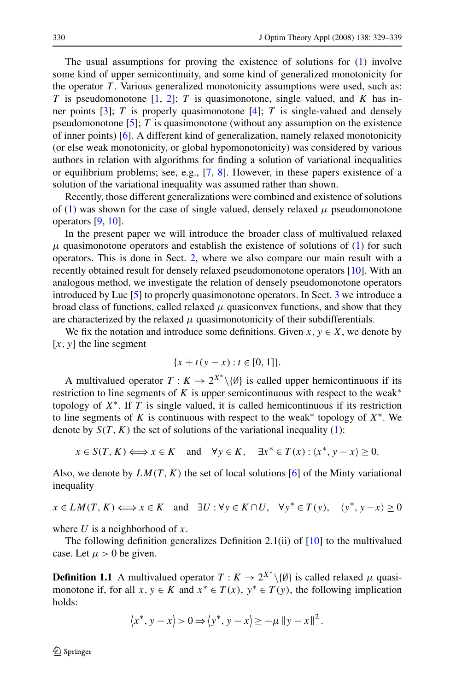The usual assumptions for proving the existence of solutions for [\(1](#page-0-0)) involve some kind of upper semicontinuity, and some kind of generalized monotonicity for the operator  $T$ . Various generalized monotonicity assumptions were used, such as: *T* is pseudomonotone [[1,](#page-10-0) [2\]](#page-10-0); *T* is quasimonotone, single valued, and *K* has inner points [[3](#page-10-0)]; *T* is properly quasimonotone [\[4](#page-10-0)]; *T* is single-valued and densely pseudomonotone [[5\]](#page-10-0); *T* is quasimonotone (without any assumption on the existence of inner points) [\[6](#page-10-0)]. A different kind of generalization, namely relaxed monotonicity (or else weak monotonicity, or global hypomonotonicity) was considered by various authors in relation with algorithms for finding a solution of variational inequalities or equilibrium problems; see, e.g., [[7,](#page-10-0) [8\]](#page-10-0). However, in these papers existence of a solution of the variational inequality was assumed rather than shown.

Recently, those different generalizations were combined and existence of solutions of [\(1](#page-0-0)) was shown for the case of single valued, densely relaxed  $\mu$  pseudomonotone operators [[9,](#page-10-0) [10\]](#page-10-0).

In the present paper we will introduce the broader class of multivalued relaxed  $μ$  quasimonotone operators and establish the existence of solutions of ([1\)](#page-0-0) for such operators. This is done in Sect. [2](#page-2-0), where we also compare our main result with a recently obtained result for densely relaxed pseudomonotone operators [\[10](#page-10-0)]. With an analogous method, we investigate the relation of densely pseudomonotone operators introduced by Luc [[5\]](#page-10-0) to properly quasimonotone operators. In Sect. [3](#page-6-0) we introduce a broad class of functions, called relaxed  $\mu$  quasiconvex functions, and show that they are characterized by the relaxed  $\mu$  quasimonotonicity of their subdifferentials.

We fix the notation and introduce some definitions. Given  $x, y \in X$ , we denote by  $[x, y]$  the line segment

$$
\{x + t(y - x) : t \in [0, 1]\}.
$$

A multivalued operator  $T: K \to 2^{X^*} \setminus \{\emptyset\}$  is called upper hemicontinuous if its restriction to line segments of *K* is upper semicontinuous with respect to the weak<sup>∗</sup> topology of *X*∗. If *T* is single valued, it is called hemicontinuous if its restriction to line segments of K is continuous with respect to the weak<sup>\*</sup> topology of  $X^*$ . We denote by  $S(T, K)$  the set of solutions of the variational inequality ([1\)](#page-0-0):

$$
x \in S(T, K) \Longleftrightarrow x \in K
$$
 and  $\forall y \in K$ ,  $\exists x^* \in T(x) : \langle x^*, y - x \rangle \ge 0$ .

Also, we denote by  $LM(T, K)$  the set of local solutions [\[6](#page-10-0)] of the Minty variational inequality

$$
x \in LM(T, K) \Longleftrightarrow x \in K
$$
 and  $\exists U : \forall y \in K \cap U$ ,  $\forall y^* \in T(y)$ ,  $\langle y^*, y - x \rangle \ge 0$ 

where *U* is a neighborhood of *x*.

The following definition generalizes Definition 2.1(ii) of  $[10]$  $[10]$  to the multivalued case. Let  $\mu > 0$  be given.

**Definition 1.1** A multivalued operator  $T: K \to 2^{X^*} \setminus \{\emptyset\}$  is called relaxed  $\mu$  quasimonotone if, for all  $x, y \in K$  and  $x^* \in T(x), y^* \in T(y)$ , the following implication holds:

$$
\langle x^*, y - x \rangle > 0 \Rightarrow \langle y^*, y - x \rangle \ge -\mu \|y - x\|^2.
$$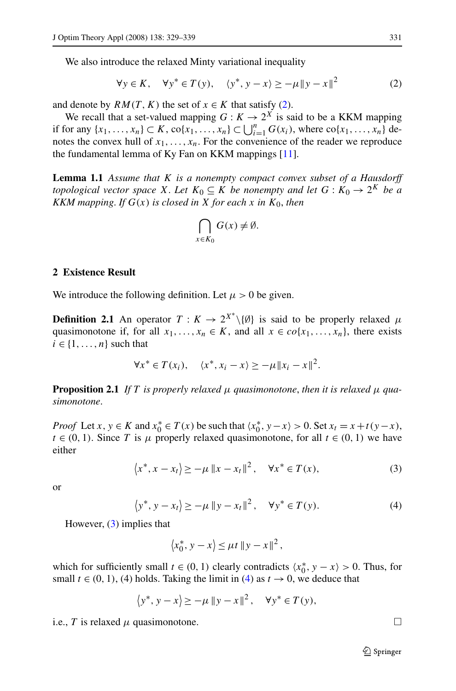<span id="page-2-0"></span>We also introduce the relaxed Minty variational inequality

$$
\forall y \in K, \quad \forall y^* \in T(y), \quad \langle y^*, y - x \rangle \ge -\mu \|y - x\|^2 \tag{2}
$$

and denote by  $RM(T, K)$  the set of  $x \in K$  that satisfy (2).

We recall that a set-valued mapping  $G : K \to 2^X$  is said to be a KKM mapping if for any  $\{x_1, ..., x_n\}$  ⊂ *K*, co $\{x_1, ..., x_n\}$  ⊂  $\bigcup_{i=1}^n G(x_i)$ , where co $\{x_1, ..., x_n\}$  denotes the convex hull of  $x_1, \ldots, x_n$ . For the convenience of the reader we reproduce the fundamental lemma of Ky Fan on KKM mappings [[11\]](#page-10-0).

**Lemma 1.1** *Assume that K is a nonempty compact convex subset of a Hausdorff topological vector space X*. Let  $K_0 \subseteq K$  *be nonempty and let*  $G: K_0 \to 2^K$  *be a KKM mapping. If*  $G(x)$  *is closed in X for each x in*  $K_0$ *, then* 

$$
\bigcap_{x \in K_0} G(x) \neq \emptyset.
$$

#### **2 Existence Result**

We introduce the following definition. Let  $\mu > 0$  be given.

**Definition 2.1** An operator  $T: K \to 2^{X^*} \setminus \{0\}$  is said to be properly relaxed  $\mu$ quasimonotone if, for all  $x_1, \ldots, x_n \in K$ , and all  $x \in co\{x_1, \ldots, x_n\}$ , there exists  $i \in \{1, \ldots, n\}$  such that

$$
\forall x^* \in T(x_i), \quad \langle x^*, x_i - x \rangle \ge -\mu \|x_i - x\|^2.
$$

**Proposition 2.1** *If T is properly relaxed*  $\mu$  *quasimonotone, then it is relaxed*  $\mu$  *quasimonotone*.

*Proof* Let *x*,  $y \in K$  and  $x_0^* \in T(x)$  be such that  $\langle x_0^*, y - x \rangle > 0$ . Set  $x_t = x + t(y - x)$ ,  $t \in (0, 1)$ . Since *T* is  $\mu$  properly relaxed quasimonotone, for all  $t \in (0, 1)$  we have either

$$
\langle x^*, x - x_t \rangle \ge -\mu \|x - x_t\|^2, \quad \forall x^* \in T(x), \tag{3}
$$

or

$$
\langle y^*, y - x_t \rangle \ge -\mu \left\| y - x_t \right\|^2, \quad \forall y^* \in T(y). \tag{4}
$$

However,  $(3)$  implies that

$$
\langle x_0^*, y - x \rangle \le \mu t \, \|y - x\|^2 \,,
$$

which for sufficiently small  $t \in (0, 1)$  clearly contradicts  $\langle x_0^*, y - x \rangle > 0$ . Thus, for small  $t \in (0, 1)$ , (4) holds. Taking the limit in (4) as  $t \to 0$ , we deduce that

$$
\langle y^*, y - x \rangle \ge -\mu \|y - x\|^2, \quad \forall y^* \in T(y),
$$

i.e., *T* is relaxed  $\mu$  quasimonotone.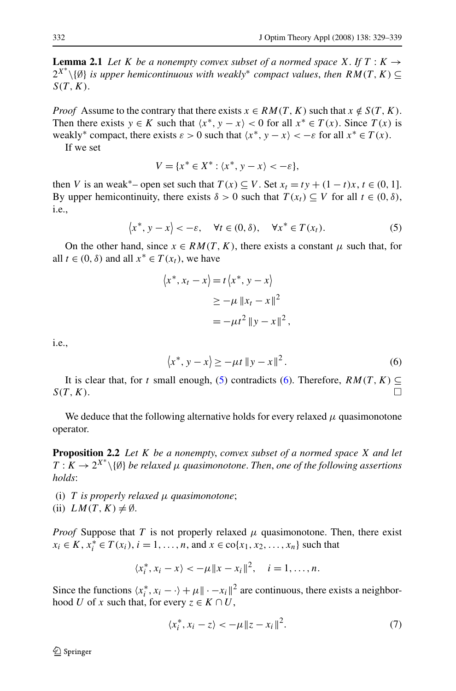<span id="page-3-0"></span>**Lemma 2.1** *Let K be a nonempty convex subset of a normed space X*. *If*  $T : K \rightarrow$ 2*X*<sup>∗</sup> \{∅} *is upper hemicontinuous with weakly*<sup>∗</sup> *compact values*, *then RM(T,K)* ⊆ *S(T,K)*.

*Proof* Assume to the contrary that there exists  $x \in RM(T, K)$  such that  $x \notin S(T, K)$ . Then there exists  $y \in K$  such that  $\langle x^*, y - x \rangle < 0$  for all  $x^* \in T(x)$ . Since  $T(x)$  is weakly<sup>\*</sup> compact, there exists  $\varepsilon > 0$  such that  $\langle x^*, y - x \rangle < -\varepsilon$  for all  $x^* \in T(x)$ .

If we set

$$
V = \{x^* \in X^* : \langle x^*, y - x \rangle < -\varepsilon\},
$$

then *V* is an weak<sup>\*</sup>– open set such that  $T(x) \subseteq V$ . Set  $x_t = ty + (1 - t)x$ ,  $t \in (0, 1]$ . By upper hemicontinuity, there exists  $\delta > 0$  such that  $T(x_t) \subseteq V$  for all  $t \in (0, \delta)$ , i.e.,

$$
\langle x^*, y - x \rangle < -\varepsilon, \quad \forall t \in (0, \delta), \quad \forall x^* \in T(x_t). \tag{5}
$$

On the other hand, since  $x \in RM(T, K)$ , there exists a constant  $\mu$  such that, for all  $t \in (0, \delta)$  and all  $x^* \in T(x_t)$ , we have

$$
\langle x^*, x_t - x \rangle = t \langle x^*, y - x \rangle
$$
  
\n
$$
\geq -\mu \|x_t - x\|^2
$$
  
\n
$$
= -\mu t^2 \|y - x\|^2,
$$

i.e.,

$$
\langle x^*, y - x \rangle \ge -\mu t \|y - x\|^2.
$$
 (6)

It is clear that, for *t* small enough, (5) contradicts (6). Therefore,  $RM(T, K) \subseteq$  $S(T, K)$ .

We deduce that the following alternative holds for every relaxed  $\mu$  quasimonotone operator.

**Proposition 2.2** *Let K be a nonempty*, *convex subset of a normed space X and let*  $T: K \to 2^{X^*} \setminus \{0\}$  *be relaxed*  $\mu$  *quasimonotone. Then, one of the following assertions holds*:

(i) *T is properly relaxed μ quasimonotone*; (ii)  $LM(T, K) \neq \emptyset$ .

*Proof* Suppose that *T* is not properly relaxed  $\mu$  quasimonotone. Then, there exist *x<sub>i</sub>* ∈ *K*, *x*<sub>*i*</sub><sup>\*</sup> ∈ *T*(*x<sub>i</sub>*), *i* = 1, ..., *n*, and *x* ∈ co{*x*<sub>1</sub>, *x*<sub>2</sub>, ..., *x<sub>n</sub>*} such that

$$
\langle x_i^*, x_i - x \rangle < -\mu ||x - x_i||^2, \quad i = 1, ..., n.
$$

Since the functions  $\langle x_i^*, x_i - \cdot \rangle + \mu \|\cdot -x_i\|^2$  are continuous, there exists a neighborhood *U* of *x* such that, for every  $z \in K \cap U$ ,

$$
\langle x_i^*, x_i - z \rangle < -\mu \| z - x_i \|^2. \tag{7}
$$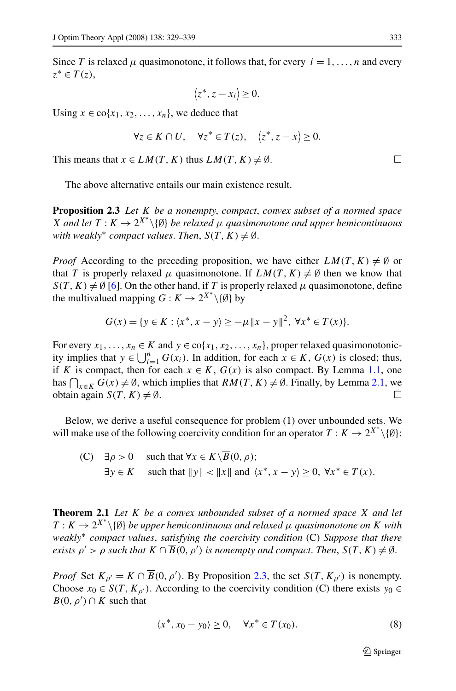<span id="page-4-0"></span>Since *T* is relaxed *μ* quasimonotone, it follows that, for every  $i = 1, \ldots, n$  and every *z*<sup>∗</sup> ∈ *T (z)*,

$$
\langle z^*, z - x_i \rangle \ge 0.
$$

Using  $x \in \text{co}\{x_1, x_2, \ldots, x_n\}$ , we deduce that

$$
\forall z \in K \cap U, \quad \forall z^* \in T(z), \quad \langle z^*, z - x \rangle \ge 0.
$$

This means that  $x \in LM(T, K)$  thus  $LM(T, K) \neq \emptyset$ .

The above alternative entails our main existence result.

**Proposition 2.3** *Let K be a nonempty*, *compact*, *convex subset of a normed space X* and let  $T: K \to 2^{X^*} \setminus \{\emptyset\}$  *be relaxed*  $\mu$  *quasimonotone and upper hemicontinuous with weakly<sup>∗</sup> compact values. Then,*  $S(T, K) \neq \emptyset$ .

*Proof* According to the preceding proposition, we have either  $LM(T, K) \neq \emptyset$  or that *T* is properly relaxed  $\mu$  quasimonotone. If  $LM(T, K) \neq \emptyset$  then we know that  $S(T, K) \neq \emptyset$  [\[6](#page-10-0)]. On the other hand, if *T* is properly relaxed  $\mu$  quasimonotone, define the multivalued mapping  $G: K \to 2^{X^*} \setminus \{0\}$  by

$$
G(x) = \{ y \in K : \langle x^*, x - y \rangle \ge -\mu \|x - y\|^2, \ \forall x^* \in T(x) \}.
$$

For every  $x_1, \ldots, x_n \in K$  and  $y \in \text{co}\{x_1, x_2, \ldots, x_n\}$ , proper relaxed quasimonotonicity implies that  $y \in \bigcup_{i=1}^{n} G(x_i)$ . In addition, for each  $x \in K$ ,  $G(x)$  is closed; thus, if *K* is compact, then for each  $x \in K$ ,  $G(x)$  is also compact. By Lemma [1.1](#page-2-0), one has  $\bigcap_{x \in K} G(x) \neq \emptyset$ , which implies that  $RM(T, K) \neq \emptyset$ . Finally, by Lemma [2.1,](#page-3-0) we obtain again  $S(T, K) \neq \emptyset$ .

Below, we derive a useful consequence for problem (1) over unbounded sets. We will make use of the following coercivity condition for an operator  $T: K \to 2^{X^*} \setminus \{\emptyset\}$ :

(C) 
$$
\exists \rho > 0
$$
 such that  $\forall x \in K \setminus B(0, \rho)$ ;  
\n $\exists y \in K$  such that  $||y|| < ||x||$  and  $\langle x^*, x - y \rangle \ge 0$ ,  $\forall x^* \in T(x)$ .

**Theorem 2.1** *Let K be a convex unbounded subset of a normed space X and let*  $T: K \to 2^{X^*} \setminus \{\emptyset\}$  *be upper hemicontinuous and relaxed*  $\mu$  *quasimonotone on K* with *weakly*<sup>∗</sup> *compact values*, *satisfying the coercivity condition* (C) *Suppose that there exists*  $\rho' > \rho$  *such that*  $K \cap \overline{B}(0, \rho')$  *is nonempty and compact. Then,*  $S(T, K) \neq \emptyset$ .

*Proof* Set  $K_{\rho'} = K \cap \overline{B}(0, \rho')$ . By Proposition 2.3, the set  $S(T, K_{\rho'})$  is nonempty. Choose  $x_0 \in S(T, K_{\rho'})$ . According to the coercivity condition (C) there exists  $y_0 \in$  $B(0, \rho') \cap K$  such that

$$
\langle x^*, x_0 - y_0 \rangle \ge 0, \quad \forall x^* \in T(x_0). \tag{8}
$$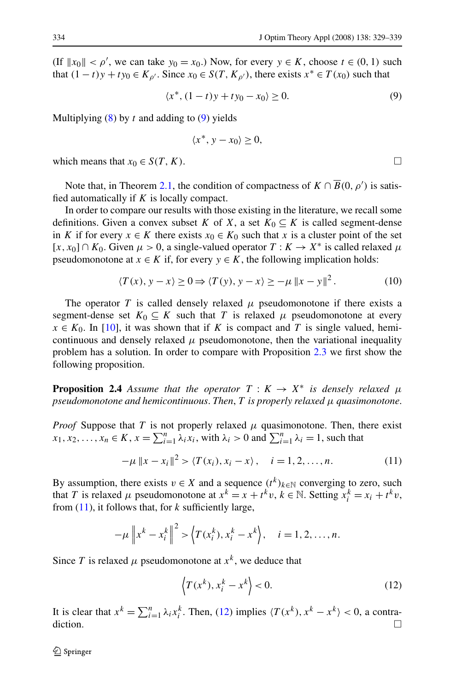<span id="page-5-0"></span>(If  $||x_0|| < \rho'$ , we can take  $y_0 = x_0$ .) Now, for every  $y \in K$ , choose  $t \in (0, 1)$  such that  $(1-t)y + ty_0 \in K_{\rho'}$ . Since  $x_0 \in S(T, K_{\rho'})$ , there exists  $x^* \in T(x_0)$  such that

$$
\langle x^*, (1-t)y + ty_0 - x_0 \rangle \ge 0. \tag{9}
$$

Multiplying [\(8](#page-4-0)) by *t* and adding to (9) yields

$$
\langle x^*, y - x_0 \rangle \ge 0,
$$

which means that  $x_0 \in S(T, K)$ .

Note that, in Theorem [2.1](#page-4-0), the condition of compactness of  $K \cap \overline{B}(0, \rho')$  is satisfied automatically if *K* is locally compact.

In order to compare our results with those existing in the literature, we recall some definitions. Given a convex subset *K* of *X*, a set  $K_0 \subseteq K$  is called segment-dense in *K* if for every  $x \in K$  there exists  $x_0 \in K_0$  such that *x* is a cluster point of the set  $[x, x_0] \cap K_0$ . Given  $\mu > 0$ , a single-valued operator  $T : K \to X^*$  is called relaxed  $\mu$ pseudomonotone at  $x \in K$  if, for every  $y \in K$ , the following implication holds:

$$
\langle T(x), y - x \rangle \ge 0 \Rightarrow \langle T(y), y - x \rangle \ge -\mu \|x - y\|^2. \tag{10}
$$

The operator *T* is called densely relaxed  $\mu$  pseudomonotone if there exists a segment-dense set  $K_0 \subseteq K$  such that *T* is relaxed  $\mu$  pseudomonotone at every  $x \in K_0$ . In [\[10](#page-10-0)], it was shown that if *K* is compact and *T* is single valued, hemicontinuous and densely relaxed  $\mu$  pseudomonotone, then the variational inequality problem has a solution. In order to compare with Proposition [2.3](#page-4-0) we first show the following proposition.

**Proposition 2.4** *Assume that the operator*  $T : K \to X^*$  *is densely relaxed*  $\mu$ *pseudomonotone and hemicontinuous*. *Then*, *T is properly relaxed μ quasimonotone*.

*Proof* Suppose that *T* is not properly relaxed  $\mu$  quasimonotone. Then, there exist  $x_1, x_2, \ldots, x_n \in K$ ,  $x = \sum_{i=1}^n \lambda_i x_i$ , with  $\lambda_i > 0$  and  $\sum_{i=1}^n \lambda_i = 1$ , such that

$$
-\mu \|x - x_i\|^2 > \langle T(x_i), x_i - x \rangle, \quad i = 1, 2, ..., n. \tag{11}
$$

By assumption, there exists  $v \in X$  and a sequence  $(t^k)_{k \in \mathbb{N}}$  converging to zero, such that *T* is relaxed *μ* pseudomonotone at  $x^k = x + t^k v$ ,  $k \in \mathbb{N}$ . Setting  $x_i^k = x_i + t^k v$ , from (11), it follows that, for *k* sufficiently large,

$$
-\mu \|x^{k} - x_{i}^{k}\|^{2} > \left\langle T(x_{i}^{k}), x_{i}^{k} - x^{k}\right\rangle, \quad i = 1, 2, \dots, n.
$$

Since *T* is relaxed  $\mu$  pseudomonotone at  $x^k$ , we deduce that

$$
\left\langle T(x^k), x_i^k - x^k \right\rangle < 0. \tag{12}
$$

It is clear that  $x^k = \sum_{i=1}^n \lambda_i x_i^k$ . Then, (12) implies  $\langle T(x^k), x^k - x^k \rangle < 0$ , a contra- $\Box$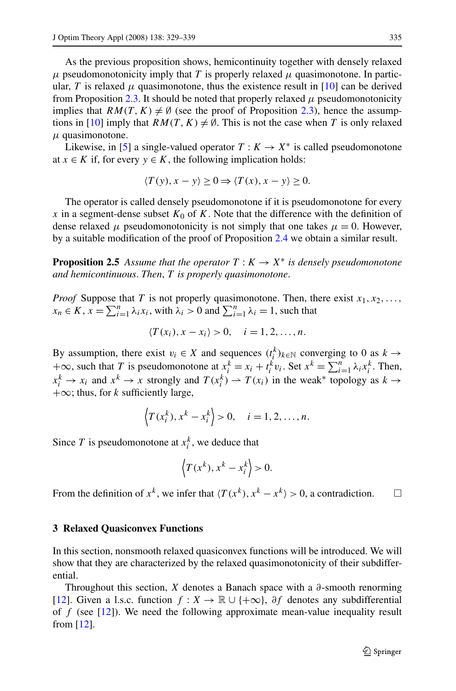<span id="page-6-0"></span>As the previous proposition shows, hemicontinuity together with densely relaxed  $\mu$  pseudomonotonicity imply that *T* is properly relaxed  $\mu$  quasimonotone. In particular, *T* is relaxed  $\mu$  quasimonotone, thus the existence result in [[10\]](#page-10-0) can be derived from Proposition [2.3](#page-4-0). It should be noted that properly relaxed  $\mu$  pseudomonotonicity implies that  $RM(T, K) \neq \emptyset$  (see the proof of Proposition [2.3\)](#page-4-0), hence the assump-tions in [[10\]](#page-10-0) imply that  $RM(T, K) \neq \emptyset$ . This is not the case when T is only relaxed *μ* quasimonotone.

Likewise, in [\[5](#page-10-0)] a single-valued operator  $T: K \to X^*$  is called pseudomonotone at *x* ∈ *K* if, for every  $y \text{ ∈ } K$ , the following implication holds:

$$
\langle T(y), x - y \rangle \ge 0 \Rightarrow \langle T(x), x - y \rangle \ge 0.
$$

The operator is called densely pseudomonotone if it is pseudomonotone for every *x* in a segment-dense subset  $K_0$  of  $K$ . Note that the difference with the definition of dense relaxed  $\mu$  pseudomonotonicity is not simply that one takes  $\mu = 0$ . However, by a suitable modification of the proof of Proposition [2.4](#page-5-0) we obtain a similar result.

**Proposition 2.5** *Assume that the operator*  $T: K \to X^*$  *is densely pseudomonotone and hemicontinuous*. *Then*, *T is properly quasimonotone*.

*Proof* Suppose that *T* is not properly quasimonotone. Then, there exist  $x_1, x_2, \ldots$ ,  $x_n \in K$ ,  $\overline{x} = \sum_{i=1}^n \lambda_i x_i$ , with  $\lambda_i > 0$  and  $\sum_{i=1}^n \lambda_i = 1$ , such that

$$
\langle T(x_i), x - x_i \rangle > 0, \quad i = 1, 2, \dots, n.
$$

By assumption, there exist  $v_i \in X$  and sequences  $(t_i^k)_{k \in \mathbb{N}}$  converging to 0 as  $k \to$ +∞, such that *T* is pseudomonotone at  $x_i^k = x_i + t_i^k v_i$ . Set  $x^k = \sum_{i=1}^n \lambda_i x_i^k$ . Then,  $x_i^k \to x_i$  and  $x^k \to x$  strongly and  $T(x_i^k) \to T(x_i)$  in the weak\* topology as  $k \to x_i$ +∞; thus, for *k* sufficiently large,

$$
\left\langle T(x_i^k), x^k - x_i^k \right\rangle > 0, \quad i = 1, 2, \dots, n.
$$

Since *T* is pseudomonotone at  $x_i^k$ , we deduce that

$$
\left\langle T(x^k), x^k - x_i^k \right\rangle > 0.
$$

From the definition of  $x^k$ , we infer that  $\langle T(x^k), x^k - x^k \rangle > 0$ , a contradiction.  $\Box$ 

### **3 Relaxed Quasiconvex Functions**

In this section, nonsmooth relaxed quasiconvex functions will be introduced. We will show that they are characterized by the relaxed quasimonotonicity of their subdifferential.

Throughout this section, *X* denotes a Banach space with a *∂*-smooth renorming [\[12](#page-10-0)]. Given a l.s.c. function  $f: X \to \mathbb{R} \cup \{+\infty\}$ ,  $\partial f$  denotes any subdifferential of *f* (see [\[12](#page-10-0)]). We need the following approximate mean-value inequality result from  $[12]$  $[12]$ .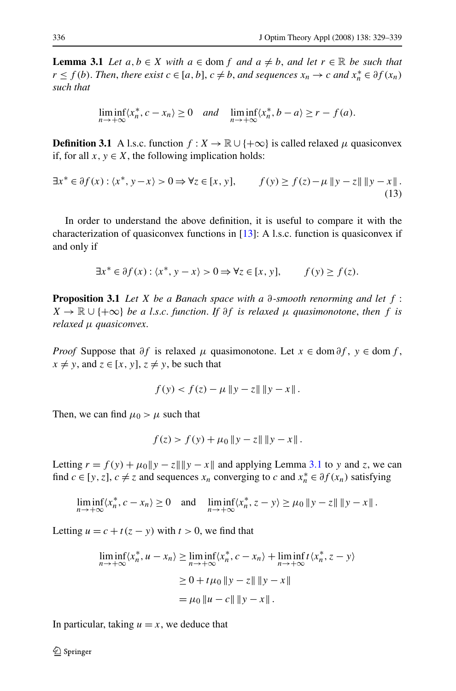<span id="page-7-0"></span>**Lemma 3.1** *Let*  $a, b \in X$  *with*  $a \in \text{dom } f$  *and*  $a \neq b$ *, and let*  $r \in \mathbb{R}$  *be such that r* ≤ *f*(*b*). *Then, there exist c* ∈ [*a, b*], *c* ≠ *b, and sequences*  $x_n$  → *c and*  $x_n^*$  ∈  $\partial f(x_n)$ *such that*

$$
\liminf_{n \to +\infty} \langle x_n^*, c - x_n \rangle \ge 0 \quad \text{and} \quad \liminf_{n \to +\infty} \langle x_n^*, b - a \rangle \ge r - f(a).
$$

**Definition 3.1** A l.s.c. function  $f: X \to \mathbb{R} \cup \{+\infty\}$  is called relaxed  $\mu$  quasiconvex if, for all  $x, y \in X$ , the following implication holds:

$$
\exists x^* \in \partial f(x) : \langle x^*, y - x \rangle > 0 \Rightarrow \forall z \in [x, y], \qquad f(y) \ge f(z) - \mu \|y - z\| \|y - x\|.
$$
\n(13)

In order to understand the above definition, it is useful to compare it with the characterization of quasiconvex functions in [[13\]](#page-10-0): A l.s.c. function is quasiconvex if and only if

$$
\exists x^* \in \partial f(x) : \langle x^*, y - x \rangle > 0 \Rightarrow \forall z \in [x, y], \qquad f(y) \ge f(z).
$$

**Proposition 3.1** *Let X be a Banach space with a ∂-smooth renorming and let f* :  $X \to \mathbb{R} \cup \{+\infty\}$  *be a l.s.c. function. If*  $\partial f$  *is relaxed*  $\mu$  *quasimonotone, then*  $f$  *is relaxed μ quasiconvex*.

*Proof* Suppose that  $\partial f$  is relaxed  $\mu$  quasimonotone. Let  $x \in \text{dom } \partial f$ ,  $y \in \text{dom } f$ ,  $x \neq y$ , and  $z \in [x, y]$ ,  $z \neq y$ , be such that

$$
f(y) < f(z) - \mu \, \|y - z\| \, \|y - x\| \, .
$$

Then, we can find  $\mu_0 > \mu$  such that

$$
f(z) > f(y) + \mu_0 \|y - z\| \|y - x\|.
$$

Letting  $r = f(y) + \mu_0 ||y - z|| ||y - x||$  and applying Lemma 3.1 to *y* and *z*, we can find *c* ∈ [*y*, *z*], *c*  $\neq$  *z* and sequences *x<sub>n</sub>* converging to *c* and  $x_n^* \in \partial f(x_n)$  satisfying

$$
\liminf_{n\to+\infty}\langle x_n^*,c-x_n\rangle\geq 0 \quad \text{and} \quad \liminf_{n\to+\infty}\langle x_n^*,z-y\rangle\geq \mu_0\,\|y-z\|\,\|y-x\|\,.
$$

Letting  $u = c + t(z - y)$  with  $t > 0$ , we find that

$$
\liminf_{n \to +\infty} \langle x_n^*, u - x_n \rangle \ge \liminf_{n \to +\infty} \langle x_n^*, c - x_n \rangle + \liminf_{n \to +\infty} t \langle x_n^*, z - y \rangle
$$
  
\n
$$
\ge 0 + t\mu_0 \|y - z\| \|y - x\|
$$
  
\n
$$
= \mu_0 \|u - c\| \|y - x\|.
$$

In particular, taking  $u = x$ , we deduce that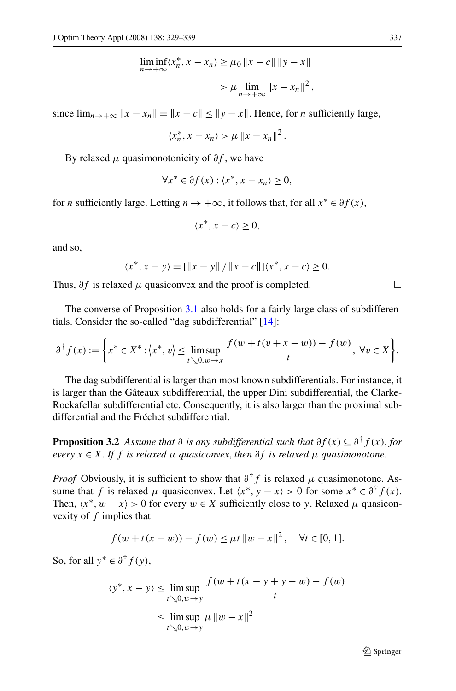$$
\liminf_{n \to +\infty} \langle x_n^*, x - x_n \rangle \ge \mu_0 \|x - c\| \|y - x\|
$$
  
> 
$$
\mu \lim_{n \to +\infty} \|x - x_n\|^2,
$$

since  $\lim_{n \to +\infty} ||x - x_n|| = ||x - c|| \le ||y - x||$ . Hence, for *n* sufficiently large,

$$
\langle x_n^*, x - x_n \rangle > \mu \left\| x - x_n \right\|^2.
$$

By relaxed  $\mu$  quasimonotonicity of  $\partial f$ , we have

$$
\forall x^* \in \partial f(x) : \langle x^*, x - x_n \rangle \ge 0,
$$

for *n* sufficiently large. Letting  $n \to +\infty$ , it follows that, for all  $x^* \in \partial f(x)$ ,

$$
\langle x^*, x - c \rangle \ge 0,
$$

and so,

$$
\langle x^*, x - y \rangle = [\|x - y\| / \|x - c\|] \langle x^*, x - c \rangle \ge 0.
$$

Thus,  $\partial f$  is relaxed  $\mu$  quasiconvex and the proof is completed.  $\Box$ 

The converse of Proposition [3.1](#page-7-0) also holds for a fairly large class of subdifferentials. Consider the so-called "dag subdifferential" [\[14](#page-10-0)]:

$$
\partial^{\dagger} f(x) := \left\{ x^* \in X^* : \left\langle x^*, v \right\rangle \le \limsup_{t \searrow 0, w \to x} \frac{f(w + t(v + x - w)) - f(w)}{t}, \ \forall v \in X \right\}.
$$

The dag subdifferential is larger than most known subdifferentials. For instance, it is larger than the Gâteaux subdifferential, the upper Dini subdifferential, the Clarke-Rockafellar subdifferential etc. Consequently, it is also larger than the proximal subdifferential and the Fréchet subdifferential.

**Proposition 3.2** *Assume that*  $\partial$  *is any subdifferential such that*  $\partial f(x) \subseteq \partial^{\dagger} f(x)$ *, for*  $e^{i}$ *every*  $x \in X$ . If  $f$  *is relaxed*  $\mu$  *quasiconvex, then*  $\partial f$  *is relaxed*  $\mu$  *quasimonotone.* 

*Proof* Obviously, it is sufficient to show that  $\partial^{\dagger} f$  is relaxed  $\mu$  quasimonotone. Assume that *f* is relaxed *μ* quasiconvex. Let  $\langle x^*, y - x \rangle > 0$  for some  $x^* \in \partial^{\dagger} f(x)$ . Then,  $\langle x^*, w - x \rangle > 0$  for every  $w \in X$  sufficiently close to *y*. Relaxed  $\mu$  quasiconvexity of *f* implies that

$$
f(w+t(x-w)) - f(w) \le \mu t \, \|w-x\|^2, \quad \forall t \in [0,1].
$$

So, for all  $y^* \in \partial^{\dagger} f(y)$ ,

$$
\langle y^*, x - y \rangle \le \limsup_{t \searrow 0, w \to y} \frac{f(w + t(x - y + y - w) - f(w))}{t}
$$
  

$$
\le \limsup_{t \searrow 0, w \to y} \mu \|w - x\|^2
$$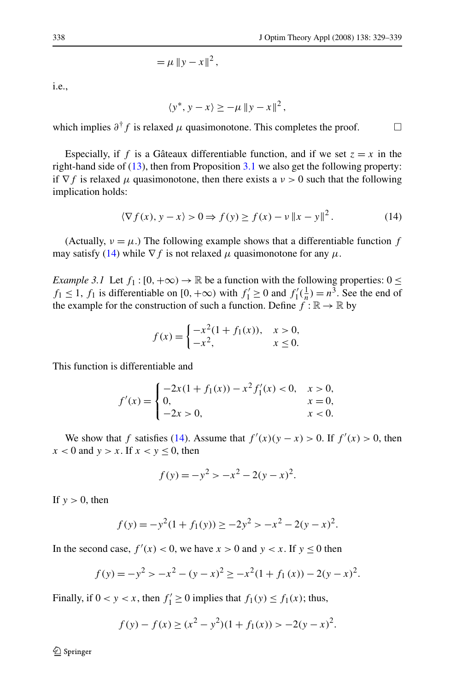$= \mu \|y - x\|^2$ ,

<span id="page-9-0"></span>i.e.,

 $\langle y^*, y - x \rangle \geq -\mu \|y - x\|^2$ ,

which implies  $\partial^{\dagger} f$  is relaxed  $\mu$  quasimonotone. This completes the proof.  $\Box$ 

Especially, if f is a Gâteaux differentiable function, and if we set  $z = x$  in the right-hand side of  $(13)$  $(13)$ , then from Proposition [3.1](#page-7-0) we also get the following property: if  $\nabla f$  is relaxed  $\mu$  quasimonotone, then there exists a  $\nu > 0$  such that the following implication holds:

$$
\langle \nabla f(x), y - x \rangle > 0 \Rightarrow f(y) \ge f(x) - v \|x - y\|^2. \tag{14}
$$

(Actually,  $\nu = \mu$ .) The following example shows that a differentiable function *f* may satisfy (14) while  $\nabla f$  is not relaxed  $\mu$  quasimonotone for any  $\mu$ .

*Example 3.1* Let  $f_1$  :  $[0, +\infty) \rightarrow \mathbb{R}$  be a function with the following properties:  $0 \le$ *f*<sub>1</sub> ≤ 1, *f*<sub>1</sub> is differentiable on [0, +∞) with  $f'_1 \ge 0$  and  $f'_1(\frac{1}{n}) = n^3$ . See the end of the example for the construction of such a function. Define  $f : \mathbb{R} \to \mathbb{R}$  by

$$
f(x) = \begin{cases} -x^2(1 + f_1(x)), & x > 0, \\ -x^2, & x \le 0. \end{cases}
$$

This function is differentiable and

$$
f'(x) = \begin{cases} -2x(1+f_1(x)) - x^2 f'_1(x) < 0, & x > 0, \\ 0, & x = 0, \\ -2x > 0, & x < 0. \end{cases}
$$

We show that *f* satisfies (14). Assume that  $f'(x)(y - x) > 0$ . If  $f'(x) > 0$ , then  $x < 0$  and  $y > x$ . If  $x < y \le 0$ , then

$$
f(y) = -y^2 > -x^2 - 2(y - x)^2.
$$

If  $y > 0$ , then

$$
f(y) = -y^2(1 + f_1(y)) \ge -2y^2 > -x^2 - 2(y - x)^2.
$$

In the second case,  $f'(x) < 0$ , we have  $x > 0$  and  $y < x$ . If  $y \le 0$  then

$$
f(y) = -y^2 > -x^2 - (y - x)^2 \ge -x^2(1 + f_1(x)) - 2(y - x)^2.
$$

Finally, if  $0 < y < x$ , then  $f'_1 \ge 0$  implies that  $f_1(y) \le f_1(x)$ ; thus,

$$
f(y) - f(x) \ge (x^2 - y^2)(1 + f_1(x)) > -2(y - x)^2.
$$

2 Springer